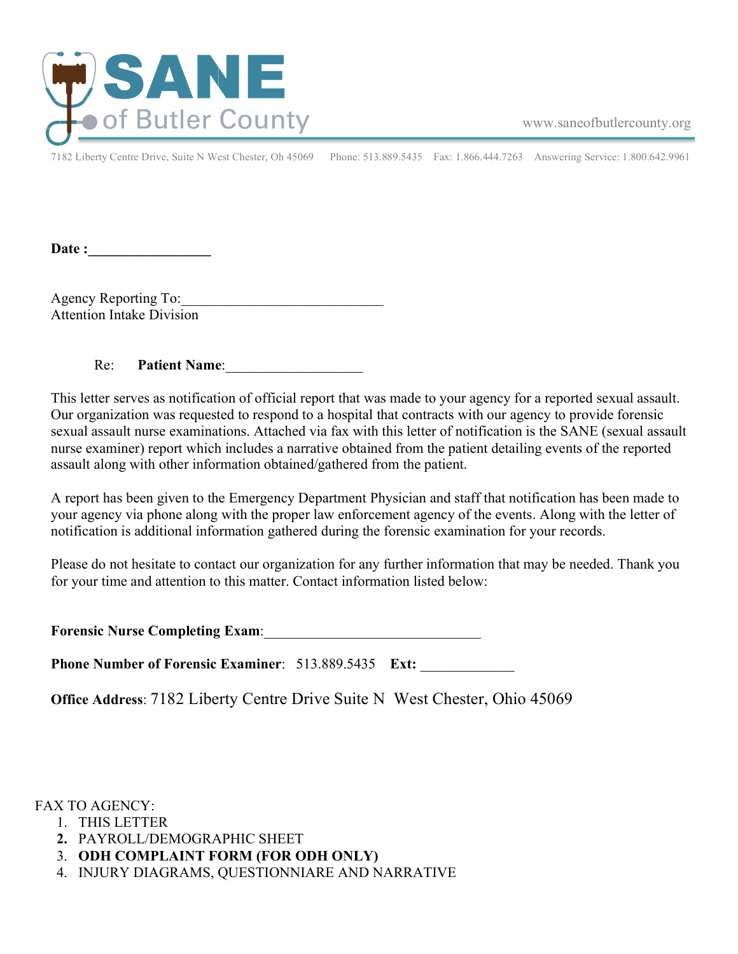

www.saneofbutlercounty.org

7182 Liberty Centre Drive, Suite N West Chester, Oh 45069 Phone: 513.889.5435 Fax: 1.866.444.7263 Answering Service: 1.800.642.9961

Date :

Agency Reporting To: Attention Intake Division

Re: **Patient Name**:

This letter serves as notification of official report that was made to your agency for a reported sexual assault. Our organization was requested to respond to a hospital that contracts with our agency to provide forensic sexual assault nurse examinations. Attached via fax with this letter of notification is the SANE (sexual assault nurse examiner) report which includes a narrative obtained from the patient detailing events of the reported assault along with other information obtained/gathered from the patient.

A report has been given to the Emergency Department Physician and staff that notification has been made to your agency via phone along with the proper law enforcement agency of the events. Along with the letter of notification is additional information gathered during the forensic examination for your records.

Please do not hesitate to contact our organization for any further information that may be needed. Thank you for your time and attention to this matter. Contact information listed below:

| <b>Forensic Nurse Completing Exam:</b> |  |
|----------------------------------------|--|
|----------------------------------------|--|

**Phone Number of Forensic Examiner: 513.889.5435 Ext:** 

**Office Address**: 7182 Liberty Centre Drive Suite N West Chester, Ohio 45069

FAX TO AGENCY:

- 1. THIS LETTER
- **2.** PAYROLL/DEMOGRAPHIC SHEET
- 3. **ODH COMPLAINT FORM (FOR ODH ONLY)**
- 4. INJURY DIAGRAMS, QUESTIONNIARE AND NARRATIVE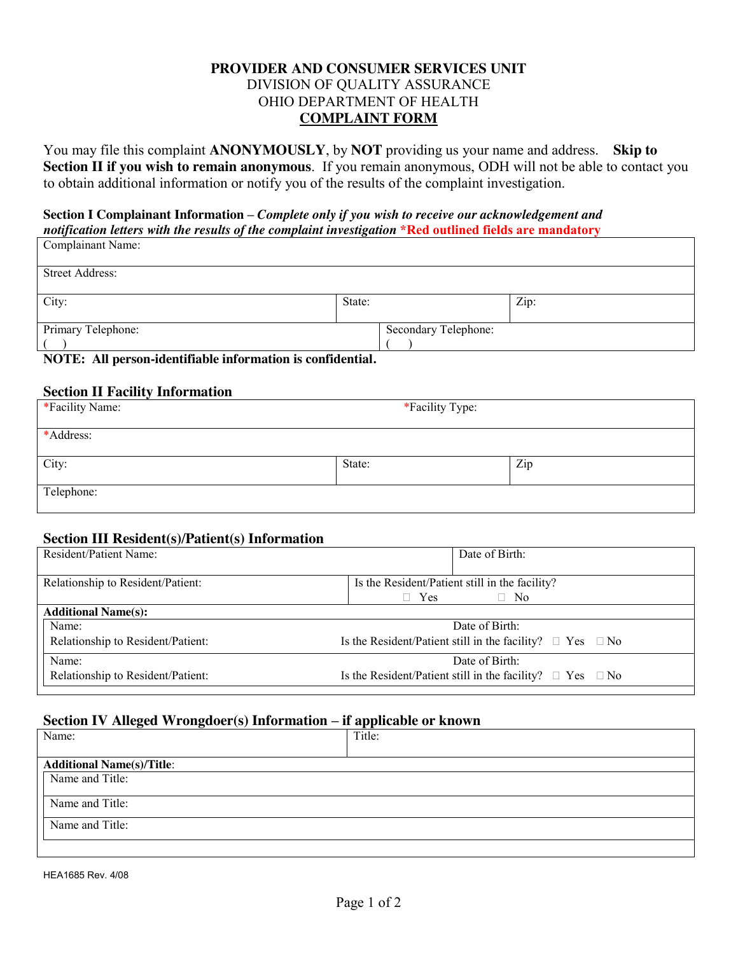### **PROVIDER AND CONSUMER SERVICES UNIT** DIVISION OF QUALITY ASSURANCE OHIO DEPARTMENT OF HEALTH **COMPLAINT FORM**

You may file this complaint **ANONYMOUSLY**, by **NOT** providing us your name and address. **Skip to Section II if you wish to remain anonymous**. If you remain anonymous, ODH will not be able to contact you to obtain additional information or notify you of the results of the complaint investigation.

#### **Section I Complainant Information –** *Complete only if you wish to receive our acknowledgement and notification letters with the results of the complaint investigation* **\*Red outlined fields are mandatory** Complainant Name:

| <b>Street Address:</b>                                                                     |         |                      |      |
|--------------------------------------------------------------------------------------------|---------|----------------------|------|
|                                                                                            |         |                      |      |
| City:                                                                                      | State:  |                      | Zip: |
|                                                                                            |         |                      |      |
| Primary Telephone:                                                                         |         | Secondary Telephone: |      |
|                                                                                            |         |                      |      |
| $\mathbf{M}\Omega$<br>$\bullet$ <b>1</b> $\bullet$ $\bullet$ <b>1 1</b> $\bullet$ <b>0</b> | $P = 1$ |                      |      |

**NOTE: All person-identifiable information is confidential.** 

#### **Section II Facility Information**

| *Facility Name: | *Facility Type: |     |  |
|-----------------|-----------------|-----|--|
| *Address:       |                 |     |  |
| City:           | State:          | Zip |  |
| Telephone:      |                 |     |  |

### **Section III Resident(s)/Patient(s) Information**

| Resident/Patient Name:            | Date of Birth:                                                      |  |
|-----------------------------------|---------------------------------------------------------------------|--|
|                                   |                                                                     |  |
| Relationship to Resident/Patient: | Is the Resident/Patient still in the facility?                      |  |
|                                   | $\Box$ Yes<br>$\Box$ No                                             |  |
| <b>Additional Name(s):</b>        |                                                                     |  |
| Name:                             | Date of Birth:                                                      |  |
| Relationship to Resident/Patient: | Is the Resident/Patient still in the facility? $\Box$ Yes $\Box$ No |  |
| Name:                             | Date of Birth:                                                      |  |
| Relationship to Resident/Patient: | Is the Resident/Patient still in the facility? $\Box$ Yes $\Box$ No |  |

#### **Section IV Alleged Wrongdoer(s) Information – if applicable or known**

| Name:                            | Title: |  |  |
|----------------------------------|--------|--|--|
|                                  |        |  |  |
| <b>Additional Name(s)/Title:</b> |        |  |  |
| Name and Title:                  |        |  |  |
|                                  |        |  |  |
| Name and Title:                  |        |  |  |
| Name and Title:                  |        |  |  |
|                                  |        |  |  |
|                                  |        |  |  |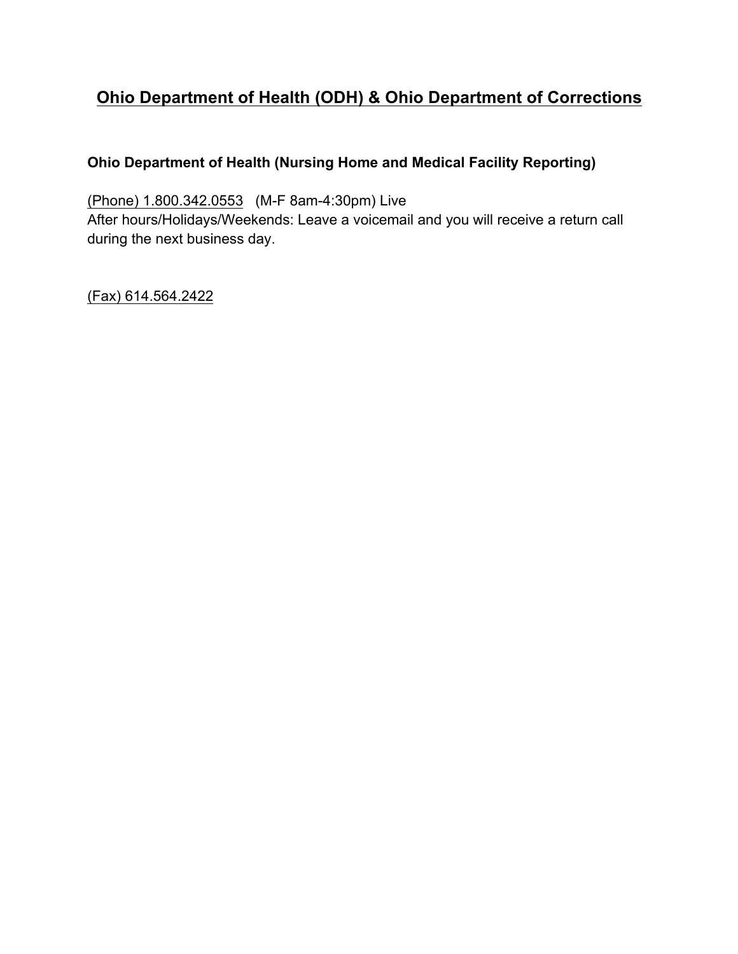# **Ohio Department of Health (ODH) & Ohio Department of Corrections**

# **Ohio Department of Health (Nursing Home and Medical Facility Reporting)**

(Phone) 1.800.342.0553 (M-F 8am-4:30pm) Live After hours/Holidays/Weekends: Leave a voicemail and you will receive a return call during the next business day.

(Fax) 614.564.2422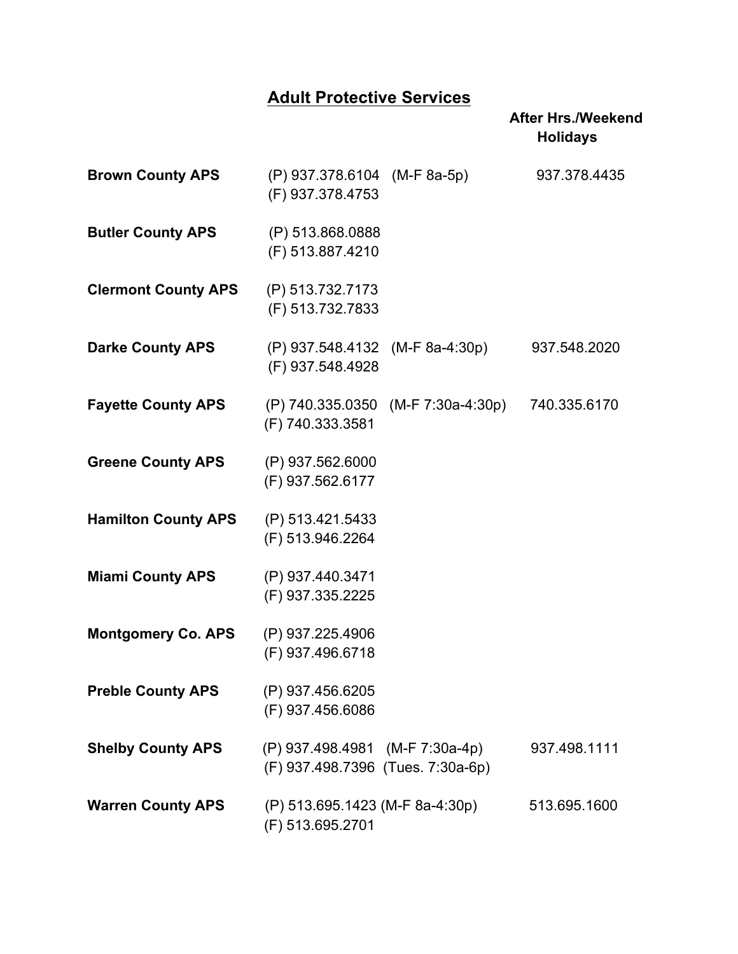# **Adult Protective Services**

|                            |                                                                      |                                    | <b>After Hrs./Weekend</b><br><b>Holidays</b> |
|----------------------------|----------------------------------------------------------------------|------------------------------------|----------------------------------------------|
| <b>Brown County APS</b>    | (P) 937.378.6104 (M-F 8a-5p)<br>(F) 937.378.4753                     |                                    | 937.378.4435                                 |
| <b>Butler County APS</b>   | (P) 513.868.0888<br>(F) 513.887.4210                                 |                                    |                                              |
| <b>Clermont County APS</b> | (P) 513.732.7173<br>(F) 513.732.7833                                 |                                    |                                              |
| <b>Darke County APS</b>    | (P) 937.548.4132 (M-F 8a-4:30p)<br>(F) 937.548.4928                  |                                    | 937.548.2020                                 |
| <b>Fayette County APS</b>  | (F) 740.333.3581                                                     | (P) 740.335.0350 (M-F 7:30a-4:30p) | 740.335.6170                                 |
| <b>Greene County APS</b>   | (P) 937.562.6000<br>(F) 937.562.6177                                 |                                    |                                              |
| <b>Hamilton County APS</b> | (P) 513.421.5433<br>(F) 513.946.2264                                 |                                    |                                              |
| <b>Miami County APS</b>    | (P) 937.440.3471<br>(F) 937.335.2225                                 |                                    |                                              |
| <b>Montgomery Co. APS</b>  | (P) 937.225.4906<br>(F) 937.496.6718                                 |                                    |                                              |
| <b>Preble County APS</b>   | (P) 937.456.6205<br>(F) 937.456.6086                                 |                                    |                                              |
| <b>Shelby County APS</b>   | (P) 937.498.4981 (M-F 7:30a-4p)<br>(F) 937.498.7396 (Tues. 7:30a-6p) |                                    | 937.498.1111                                 |
| <b>Warren County APS</b>   | (P) 513.695.1423 (M-F 8a-4:30p)<br>(F) 513.695.2701                  |                                    | 513.695.1600                                 |